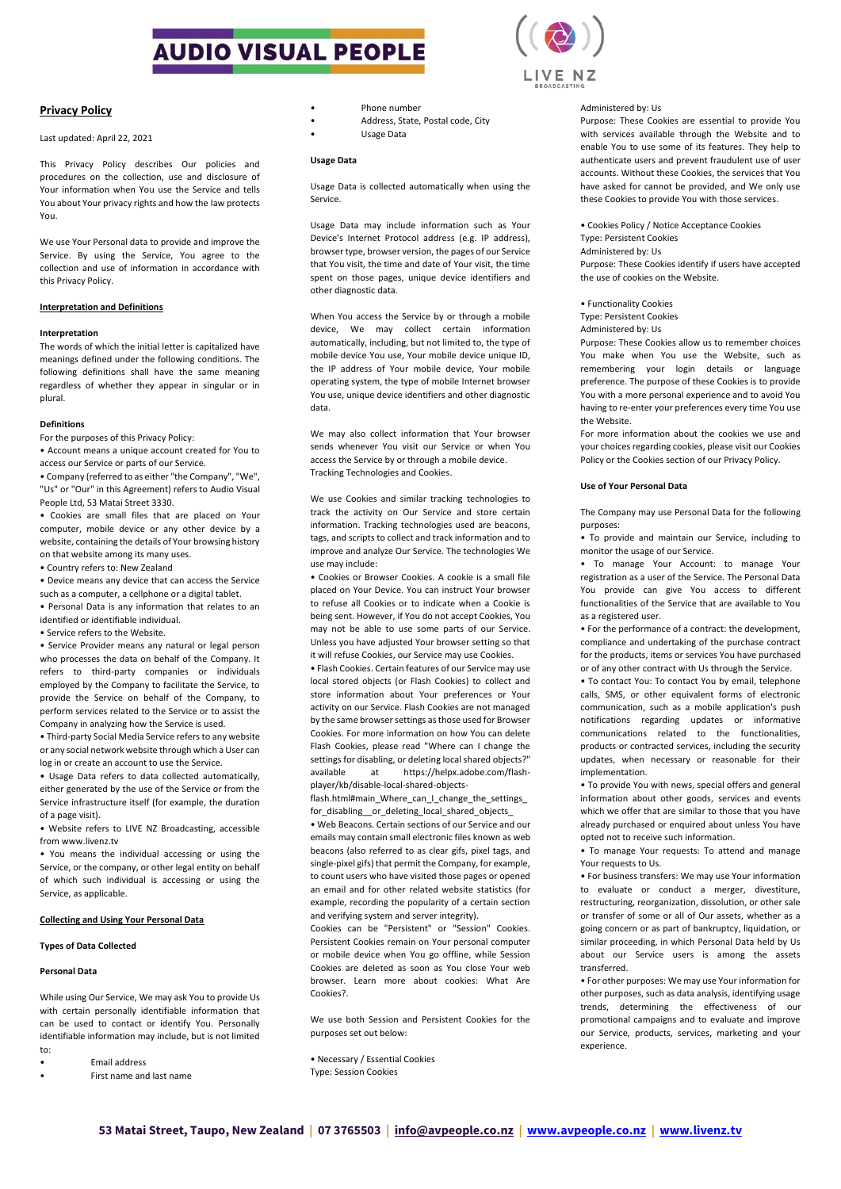# **AUDIO VISUAL PEOPLE**



## **Privacy Policy**

### Last updated: April 22, 2021

This Privacy Policy describes Our policies and procedures on the collection, use and disclosure of Your information when You use the Service and tells You about Your privacy rights and how the law protects You.

We use Your Personal data to provide and improve the Service. By using the Service, You agree to the collection and use of information in accordance with this Privacy Policy.

## **Interpretation and Definitions**

## **Interpretation**

The words of which the initial letter is capitalized have meanings defined under the following conditions. The following definitions shall have the same meaning regardless of whether they appear in singular or in plural.

### **Definitions**

For the purposes of this Privacy Policy:

• Account means a unique account created for You to access our Service or parts of our Service.

• Company (referred to as either "the Company", "We", "Us" or "Our" in this Agreement) refers to Audio Visual People Ltd, 53 Matai Street 3330.

• Cookies are small files that are placed on Your computer, mobile device or any other device by a website, containing the details of Your browsing history on that website among its many uses.

• Country refers to: New Zealand

• Device means any device that can access the Service such as a computer, a cellphone or a digital tablet.

• Personal Data is any information that relates to an identified or identifiable individual.

• Service refers to the Website.

• Service Provider means any natural or legal person who processes the data on behalf of the Company. It refers to third-party companies or individuals employed by the Company to facilitate the Service, to provide the Service on behalf of the Company, to perform services related to the Service or to assist the Company in analyzing how the Service is used.

• Third-party Social Media Service refers to any website or any social network website through which a User can log in or create an account to use the Service.

• Usage Data refers to data collected automatically, either generated by the use of the Service or from the Service infrastructure itself (for example, the duration of a page visit).

• Website refers to LIVE NZ Broadcasting, accessible from www.livenz.tv

• You means the individual accessing or using the Service, or the company, or other legal entity on behalf of which such individual is accessing or using the Service, as applicable.

## **Collecting and Using Your Personal Data**

### **Types of Data Collected**

## **Personal Data**

While using Our Service, We may ask You to provide Us with certain personally identifiable information that can be used to contact or identify You. Personally identifiable information may include, but is not limited to:

• Email address • First name and last name

- Phone number
- Address, State, Postal code, City
- Usage Data

## **Usage Data**

Usage Data is collected automatically when using the Service.

Usage Data may include information such as Your Device's Internet Protocol address (e.g. IP address), browser type, browser version, the pages of our Service that You visit, the time and date of Your visit, the time spent on those pages, unique device identifiers and other diagnostic data.

When You access the Service by or through a mobile device, We may collect certain information automatically, including, but not limited to, the type of mobile device You use, Your mobile device unique ID, the IP address of Your mobile device, Your mobile operating system, the type of mobile Internet browser You use, unique device identifiers and other diagnostic data.

We may also collect information that Your browser sends whenever You visit our Service or when You access the Service by or through a mobile device. Tracking Technologies and Cookies.

We use Cookies and similar tracking technologies to track the activity on Our Service and store certain information. Tracking technologies used are beacons, tags, and scripts to collect and track information and to improve and analyze Our Service. The technologies We use may include:

• Cookies or Browser Cookies. A cookie is a small file placed on Your Device. You can instruct Your browser to refuse all Cookies or to indicate when a Cookie is being sent. However, if You do not accept Cookies, You may not be able to use some parts of our Service. Unless you have adjusted Your browser setting so that it will refuse Cookies, our Service may use Cookies.

• Flash Cookies. Certain features of our Service may use local stored objects (or Flash Cookies) to collect and store information about Your preferences or Your activity on our Service. Flash Cookies are not managed by the same browser settings as those used for Browser Cookies. For more information on how You can delete Flash Cookies, please read "Where can I change the settings for disabling, or deleting local shared objects?" available at https://helpx.adobe.com/flashplayer/kb/disable-local-shared-objects-

flash.html#main\_Where\_can\_I\_change\_the\_settings for\_disabling\_\_or\_deleting\_local\_shared\_objects\_

• Web Beacons. Certain sections of our Service and our emails may contain small electronic files known as web beacons (also referred to as clear gifs, pixel tags, and single-pixel gifs) that permit the Company, for example, to count users who have visited those pages or opened an email and for other related website statistics (for example, recording the popularity of a certain section and verifying system and server integrity).

Cookies can be "Persistent" or "Session" Cookies. Persistent Cookies remain on Your personal computer or mobile device when You go offline, while Session Cookies are deleted as soon as You close Your web browser. Learn more about cookies: What Are Cookies?.

We use both Session and Persistent Cookies for the purposes set out below:

• Necessary / Essential Cookies Type: Session Cookies

## Administered by: Us

Purpose: These Cookies are essential to provide You with services available through the Website and to enable You to use some of its features. They help to authenticate users and prevent fraudulent use of user accounts. Without these Cookies, the services that You have asked for cannot be provided, and We only use these Cookies to provide You with those services.

• Cookies Policy / Notice Acceptance Cookies Type: Persistent Cookies

Administered by: Us

Purpose: These Cookies identify if users have accepted the use of cookies on the Website.

• Functionality Cookies Type: Persistent Cookies

Administered by: Us

Purpose: These Cookies allow us to remember choices You make when You use the Website, such as remembering your login details or language preference. The purpose of these Cookies is to provide You with a more personal experience and to avoid You having to re-enter your preferences every time You use the Website.

For more information about the cookies we use and your choices regarding cookies, please visit our Cookies Policy or the Cookies section of our Privacy Policy.

### **Use of Your Personal Data**

The Company may use Personal Data for the following purposes:

• To provide and maintain our Service, including to monitor the usage of our Service.

• To manage Your Account: to manage Your registration as a user of the Service. The Personal Data You provide can give You access to different functionalities of the Service that are available to You as a registered user.

• For the performance of a contract: the development, compliance and undertaking of the purchase contract for the products, items or services You have purchased or of any other contract with Us through the Service.

• To contact You: To contact You by email, telephone calls, SMS, or other equivalent forms of electronic communication, such as a mobile application's push notifications regarding updates or informative communications related to the functionalities, products or contracted services, including the security updates, when necessary or reasonable for their implementation.

• To provide You with news, special offers and general information about other goods, services and events which we offer that are similar to those that you have already purchased or enquired about unless You have opted not to receive such information.

• To manage Your requests: To attend and manage Your requests to Us.

• For business transfers: We may use Your information to evaluate or conduct a merger, divestiture, restructuring, reorganization, dissolution, or other sale or transfer of some or all of Our assets, whether as a going concern or as part of bankruptcy, liquidation, or similar proceeding, in which Personal Data held by Us about our Service users is among the assets transferred.

• For other purposes: We may use Your information for other purposes, such as data analysis, identifying usage trends, determining the effectiveness of our promotional campaigns and to evaluate and improve our Service, products, services, marketing and your experience.